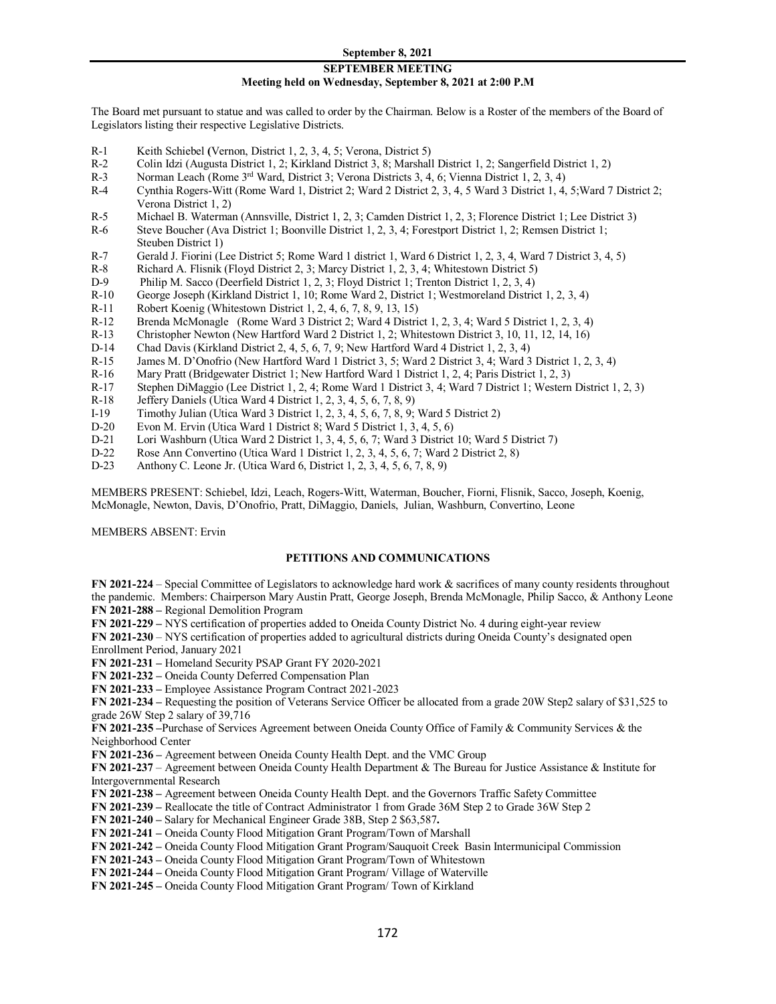### **SEPTEMBER MEETING Meeting held on Wednesday, September 8, 2021 at 2:00 P.M**

The Board met pursuant to statue and was called to order by the Chairman. Below is a Roster of the members of the Board of Legislators listing their respective Legislative Districts.

- R-1 Keith Schiebel **(**Vernon, District 1, 2, 3, 4, 5; Verona, District 5)
- R-2 Colin Idzi (Augusta District 1, 2; Kirkland District 3, 8; Marshall District 1, 2; Sangerfield District 1, 2)
- R-3 Norman Leach (Rome 3<sup>rd</sup> Ward, District 3; Verona Districts 3, 4, 6; Vienna District 1, 2, 3, 4)
- R-4 Cynthia Rogers-Witt (Rome Ward 1, District 2; Ward 2 District 2, 3, 4, 5 Ward 3 District 1, 4, 5;Ward 7 District 2; Verona District 1, 2)
- R-5 Michael B. Waterman (Annsville, District 1, 2, 3; Camden District 1, 2, 3; Florence District 1; Lee District 3)
- R-6 Steve Boucher (Ava District 1; Boonville District 1, 2, 3, 4; Forestport District 1, 2; Remsen District 1; Steuben District 1)
- R-7 Gerald J. Fiorini (Lee District 5; Rome Ward 1 district 1, Ward 6 District 1, 2, 3, 4, Ward 7 District 3, 4, 5)
- R-8 Richard A. Flisnik (Floyd District 2, 3; Marcy District 1, 2, 3, 4; Whitestown District 5)
- D-9 Philip M. Sacco (Deerfield District 1, 2, 3; Floyd District 1; Trenton District 1, 2, 3, 4)
- R-10 George Joseph (Kirkland District 1, 10; Rome Ward 2, District 1; Westmoreland District 1, 2, 3, 4)
- R-11 Robert Koenig (Whitestown District 1, 2, 4, 6, 7, 8, 9, 13, 15)<br>R-12 Brenda McMonagle (Rome Ward 3 District 2; Ward 4 District
- R-12 Brenda McMonagle (Rome Ward 3 District 2; Ward 4 District 1, 2, 3, 4; Ward 5 District 1, 2, 3, 4)<br>R-13 Christopher Newton (New Hartford Ward 2 District 1, 2; Whitestown District 3, 10, 11, 12, 14, 16)
- R-13 Christopher Newton (New Hartford Ward 2 District 1, 2; Whitestown District 3, 10, 11, 12, 14, 16)
- D-14 Chad Davis (Kirkland District 2, 4, 5, 6, 7, 9; New Hartford Ward 4 District 1, 2, 3, 4)
- R-15 James M. D'Onofrio (New Hartford Ward 1 District 3, 5; Ward 2 District 3, 4; Ward 3 District 1, 2, 3, 4)
- R-16 Mary Pratt (Bridgewater District 1; New Hartford Ward 1 District 1, 2, 4; Paris District 1, 2, 3)
- R-17 Stephen DiMaggio (Lee District 1, 2, 4; Rome Ward 1 District 3, 4; Ward 7 District 1; Western District 1, 2, 3)<br>R-18 Jeffery Daniels (Utica Ward 4 District 1, 2, 3, 4, 5, 6, 7, 8, 9)
- Jeffery Daniels (Utica Ward 4 District 1, 2, 3, 4, 5, 6, 7, 8, 9)
- I-19 Timothy Julian (Utica Ward 3 District 1, 2, 3, 4, 5, 6, 7, 8, 9; Ward 5 District 2)<br>D-20 Evon M. Ervin (Utica Ward 1 District 8; Ward 5 District 1, 3, 4, 5, 6)
- D-20 Evon M. Ervin (Utica Ward 1 District 8; Ward 5 District 1, 3, 4, 5, 6)<br>D-21 Lori Washburn (Utica Ward 2 District 1, 3, 4, 5, 6, 7; Ward 3 District
- D-21 Lori Washburn (Utica Ward 2 District 1, 3, 4, 5, 6, 7; Ward 3 District 10; Ward 5 District 7)<br>D-22 Rose Ann Convertino (Utica Ward 1 District 1, 2, 3, 4, 5, 6, 7; Ward 2 District 2, 8)
- D-22 **Rose Ann Convertino (Utica Ward 1 District 1, 2, 3, 4, 5, 6, 7; Ward 2 District 2, 8)**<br>D-23 **Anthony C. Leone Jr. (Utica Ward 6, District 1, 2, 3, 4, 5, 6, 7, 8, 9)**
- Anthony C. Leone Jr. (Utica Ward 6, District 1, 2, 3, 4, 5, 6, 7, 8, 9)

MEMBERS PRESENT: Schiebel, Idzi, Leach, Rogers-Witt, Waterman, Boucher, Fiorni, Flisnik, Sacco, Joseph, Koenig, McMonagle, Newton, Davis, D'Onofrio, Pratt, DiMaggio, Daniels, Julian, Washburn, Convertino, Leone

MEMBERS ABSENT: Ervin

# **PETITIONS AND COMMUNICATIONS**

**FN 2021-224** – Special Committee of Legislators to acknowledge hard work & sacrifices of many county residents throughout the pandemic. Members: Chairperson Mary Austin Pratt, George Joseph, Brenda McMonagle, Philip Sacco, & Anthony Leone **FN 2021-288 –** Regional Demolition Program

**FN 2021-229 –** NYS certification of properties added to Oneida County District No. 4 during eight-year review

**FN 2021-230** – NYS certification of properties added to agricultural districts during Oneida County's designated open

Enrollment Period, January 2021

**FN 2021-231 –** Homeland Security PSAP Grant FY 2020-2021

**FN 2021-232 –** Oneida County Deferred Compensation Plan

**FN 2021-233 –** Employee Assistance Program Contract 2021-2023

**FN 2021-234 –** Requesting the position of Veterans Service Officer be allocated from a grade 20W Step2 salary of \$31,525 to grade 26W Step 2 salary of 39,716

**FN 2021-235 –**Purchase of Services Agreement between Oneida County Office of Family & Community Services & the Neighborhood Center

**FN 2021-236 –** Agreement between Oneida County Health Dept. and the VMC Group

**FN 2021-237** – Agreement between Oneida County Health Department & The Bureau for Justice Assistance & Institute for Intergovernmental Research

- **FN 2021-238 –** Agreement between Oneida County Health Dept. and the Governors Traffic Safety Committee
- **FN 2021-239 –** Reallocate the title of Contract Administrator 1 from Grade 36M Step 2 to Grade 36W Step 2

**FN 2021-240 –** Salary for Mechanical Engineer Grade 38B, Step 2 \$63,587**.**

**FN 2021-241 –** Oneida County Flood Mitigation Grant Program/Town of Marshall

**FN 2021-242 –** Oneida County Flood Mitigation Grant Program/Sauquoit Creek Basin Intermunicipal Commission

**FN 2021-243 –** Oneida County Flood Mitigation Grant Program/Town of Whitestown

**FN 2021-244 –** Oneida County Flood Mitigation Grant Program/ Village of Waterville

**FN 2021-245 –** Oneida County Flood Mitigation Grant Program/ Town of Kirkland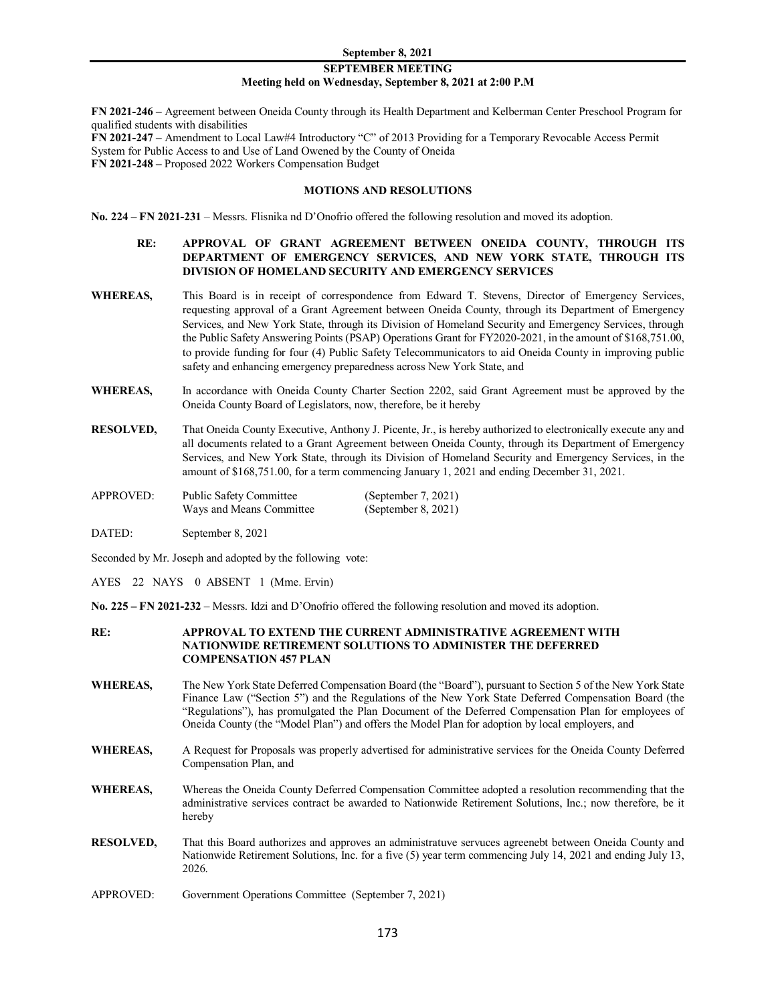### **SEPTEMBER MEETING Meeting held on Wednesday, September 8, 2021 at 2:00 P.M**

**FN 2021-246 –** Agreement between Oneida County through its Health Department and Kelberman Center Preschool Program for qualified students with disabilities **FN 2021-247 –** Amendment to Local Law#4 Introductory "C" of 2013 Providing for a Temporary Revocable Access Permit System for Public Access to and Use of Land Owened by the County of Oneida **FN 2021-248 –** Proposed 2022 Workers Compensation Budget

#### **MOTIONS AND RESOLUTIONS**

**No. 224 – FN 2021-231** – Messrs. Flisnika nd D'Onofrio offered the following resolution and moved its adoption.

# **RE: APPROVAL OF GRANT AGREEMENT BETWEEN ONEIDA COUNTY, THROUGH ITS DEPARTMENT OF EMERGENCY SERVICES, AND NEW YORK STATE, THROUGH ITS DIVISION OF HOMELAND SECURITY AND EMERGENCY SERVICES**

- **WHEREAS,** This Board is in receipt of correspondence from Edward T. Stevens, Director of Emergency Services, requesting approval of a Grant Agreement between Oneida County, through its Department of Emergency Services, and New York State, through its Division of Homeland Security and Emergency Services, through the Public Safety Answering Points (PSAP) Operations Grant for FY2020-2021, in the amount of \$168,751.00, to provide funding for four (4) Public Safety Telecommunicators to aid Oneida County in improving public safety and enhancing emergency preparedness across New York State, and
- WHEREAS, In accordance with Oneida County Charter Section 2202, said Grant Agreement must be approved by the Oneida County Board of Legislators, now, therefore, be it hereby
- **RESOLVED,** That Oneida County Executive, Anthony J. Picente, Jr., is hereby authorized to electronically execute any and all documents related to a Grant Agreement between Oneida County, through its Department of Emergency Services, and New York State, through its Division of Homeland Security and Emergency Services, in the amount of \$168,751.00, for a term commencing January 1, 2021 and ending December 31, 2021.
- APPROVED: Public Safety Committee (September 7, 2021) Ways and Means Committee (September 8, 2021)
- DATED: September 8, 2021

Seconded by Mr. Joseph and adopted by the following vote:

AYES 22 NAYS 0 ABSENT 1 (Mme. Ervin)

**No. 225 – FN 2021-232** – Messrs. Idzi and D'Onofrio offered the following resolution and moved its adoption.

#### **RE: APPROVAL TO EXTEND THE CURRENT ADMINISTRATIVE AGREEMENT WITH NATIONWIDE RETIREMENT SOLUTIONS TO ADMINISTER THE DEFERRED COMPENSATION 457 PLAN**

- **WHEREAS,** The New York State Deferred Compensation Board (the "Board"), pursuant to Section 5 of the New York State Finance Law ("Section 5") and the Regulations of the New York State Deferred Compensation Board (the "Regulations"), has promulgated the Plan Document of the Deferred Compensation Plan for employees of Oneida County (the "Model Plan") and offers the Model Plan for adoption by local employers, and
- **WHEREAS,** A Request for Proposals was properly advertised for administrative services for the Oneida County Deferred Compensation Plan, and
- **WHEREAS,** Whereas the Oneida County Deferred Compensation Committee adopted a resolution recommending that the administrative services contract be awarded to Nationwide Retirement Solutions, Inc.; now therefore, be it hereby
- **RESOLVED,** That this Board authorizes and approves an administratuve servuces agreenebt between Oneida County and Nationwide Retirement Solutions, Inc. for a five (5) year term commencing July 14, 2021 and ending July 13, 2026.
- APPROVED: Government Operations Committee (September 7, 2021)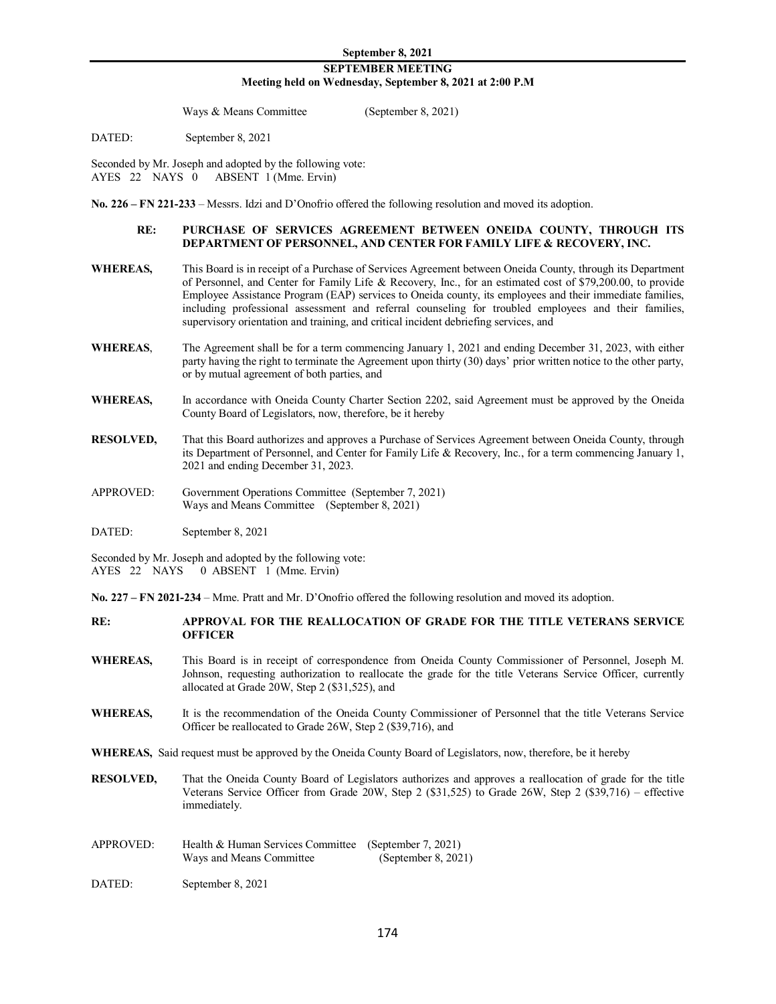Ways & Means Committee (September 8, 2021)

DATED: September 8, 2021

Seconded by Mr. Joseph and adopted by the following vote: AYES 22 NAYS 0 ABSENT 1 (Mme. Ervin)

**No. 226 – FN 221-233** – Messrs. Idzi and D'Onofrio offered the following resolution and moved its adoption.

### **RE: PURCHASE OF SERVICES AGREEMENT BETWEEN ONEIDA COUNTY, THROUGH ITS DEPARTMENT OF PERSONNEL, AND CENTER FOR FAMILY LIFE & RECOVERY, INC.**

- **WHEREAS,** This Board is in receipt of a Purchase of Services Agreement between Oneida County, through its Department of Personnel, and Center for Family Life & Recovery, Inc., for an estimated cost of \$79,200.00, to provide Employee Assistance Program (EAP) services to Oneida county, its employees and their immediate families, including professional assessment and referral counseling for troubled employees and their families, supervisory orientation and training, and critical incident debriefing services, and
- **WHEREAS**, The Agreement shall be for a term commencing January 1, 2021 and ending December 31, 2023, with either party having the right to terminate the Agreement upon thirty (30) days' prior written notice to the other party, or by mutual agreement of both parties, and
- WHEREAS, In accordance with Oneida County Charter Section 2202, said Agreement must be approved by the Oneida County Board of Legislators, now, therefore, be it hereby
- **RESOLVED,** That this Board authorizes and approves a Purchase of Services Agreement between Oneida County, through its Department of Personnel, and Center for Family Life & Recovery, Inc., for a term commencing January 1, 2021 and ending December 31, 2023.
- APPROVED: Government Operations Committee (September 7, 2021) Ways and Means Committee (September 8, 2021)
- DATED: September 8, 2021

Seconded by Mr. Joseph and adopted by the following vote: AYES 22 NAYS 0 ABSENT 1 (Mme. Ervin)

**No. 227 – FN 2021-234** – Mme. Pratt and Mr. D'Onofrio offered the following resolution and moved its adoption.

- **RE: APPROVAL FOR THE REALLOCATION OF GRADE FOR THE TITLE VETERANS SERVICE OFFICER**
- **WHEREAS,** This Board is in receipt of correspondence from Oneida County Commissioner of Personnel, Joseph M. Johnson, requesting authorization to reallocate the grade for the title Veterans Service Officer, currently allocated at Grade 20W, Step 2 (\$31,525), and
- WHEREAS, It is the recommendation of the Oneida County Commissioner of Personnel that the title Veterans Service Officer be reallocated to Grade 26W, Step 2 (\$39,716), and
- **WHEREAS,** Said request must be approved by the Oneida County Board of Legislators, now, therefore, be it hereby
- **RESOLVED,** That the Oneida County Board of Legislators authorizes and approves a reallocation of grade for the title Veterans Service Officer from Grade 20W, Step 2 (\$31,525) to Grade 26W, Step 2 (\$39,716) – effective immediately.
- APPROVED: Health & Human Services Committee (September 7, 2021)<br>Ways and Means Committee (September 8, 2021) Ways and Means Committee
- DATED: September 8, 2021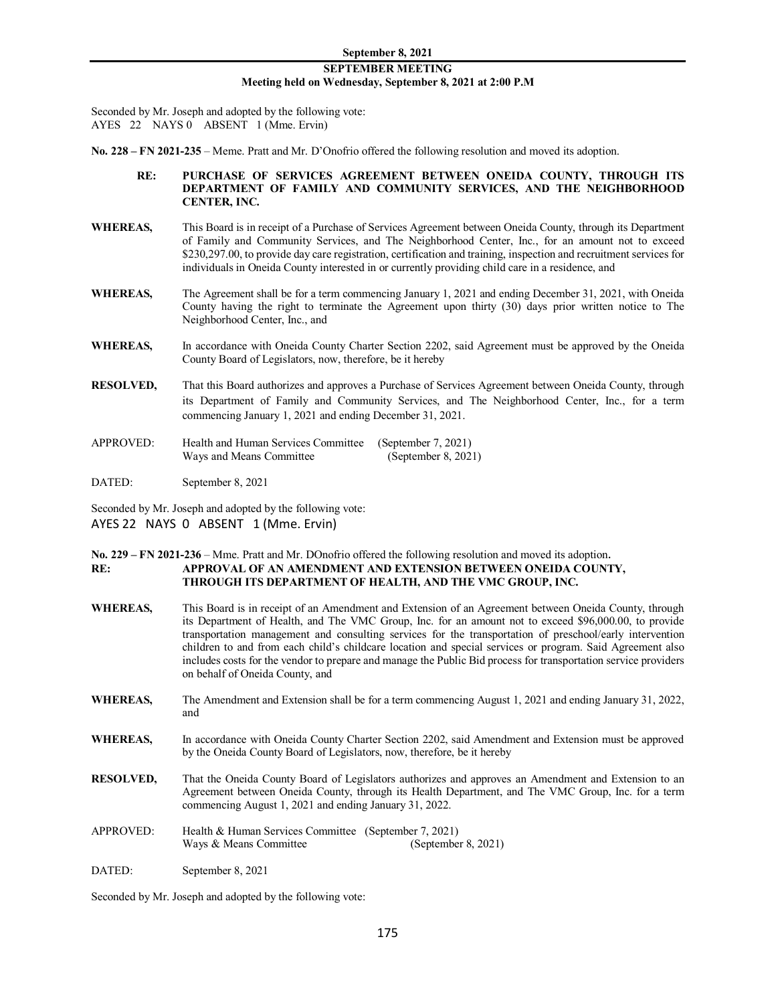Seconded by Mr. Joseph and adopted by the following vote: AYES 22 NAYS 0 ABSENT 1 (Mme. Ervin)

**No. 228 – FN 2021-235** – Meme. Pratt and Mr. D'Onofrio offered the following resolution and moved its adoption.

- **RE: PURCHASE OF SERVICES AGREEMENT BETWEEN ONEIDA COUNTY, THROUGH ITS DEPARTMENT OF FAMILY AND COMMUNITY SERVICES, AND THE NEIGHBORHOOD CENTER, INC.**
- **WHEREAS,** This Board is in receipt of a Purchase of Services Agreement between Oneida County, through its Department of Family and Community Services, and The Neighborhood Center, Inc., for an amount not to exceed \$230,297.00, to provide day care registration, certification and training, inspection and recruitment services for individuals in Oneida County interested in or currently providing child care in a residence, and
- **WHEREAS,** The Agreement shall be for a term commencing January 1, 2021 and ending December 31, 2021, with Oneida County having the right to terminate the Agreement upon thirty (30) days prior written notice to The Neighborhood Center, Inc., and
- WHEREAS, In accordance with Oneida County Charter Section 2202, said Agreement must be approved by the Oneida County Board of Legislators, now, therefore, be it hereby
- **RESOLVED,** That this Board authorizes and approves a Purchase of Services Agreement between Oneida County, through its Department of Family and Community Services, and The Neighborhood Center, Inc., for a term commencing January 1, 2021 and ending December 31, 2021.
- APPROVED: Health and Human Services Committee (September 7, 2021) Ways and Means Committee (September 8, 2021)

DATED: September 8, 2021

Seconded by Mr. Joseph and adopted by the following vote: AYES 22 NAYS 0 ABSENT 1 (Mme. Ervin)

# **No. 229 – FN 2021-236** – Mme. Pratt and Mr. DOnofrio offered the following resolution and moved its adoption. **RE: APPROVAL OF AN AMENDMENT AND EXTENSION BETWEEN ONEIDA COUNTY, THROUGH ITS DEPARTMENT OF HEALTH, AND THE VMC GROUP, INC.**

- **WHEREAS,** This Board is in receipt of an Amendment and Extension of an Agreement between Oneida County, through its Department of Health, and The VMC Group, Inc. for an amount not to exceed \$96,000.00, to provide transportation management and consulting services for the transportation of preschool/early intervention children to and from each child's childcare location and special services or program. Said Agreement also includes costs for the vendor to prepare and manage the Public Bid process for transportation service providers on behalf of Oneida County, and
- **WHEREAS,** The Amendment and Extension shall be for a term commencing August 1, 2021 and ending January 31, 2022, and
- WHEREAS, In accordance with Oneida County Charter Section 2202, said Amendment and Extension must be approved by the Oneida County Board of Legislators, now, therefore, be it hereby
- **RESOLVED,** That the Oneida County Board of Legislators authorizes and approves an Amendment and Extension to an Agreement between Oneida County, through its Health Department, and The VMC Group, Inc. for a term commencing August 1, 2021 and ending January 31, 2022.
- APPROVED: Health & Human Services Committee (September 7, 2021) Ways & Means Committee (September 8, 2021)
- DATED: September 8, 2021

Seconded by Mr. Joseph and adopted by the following vote: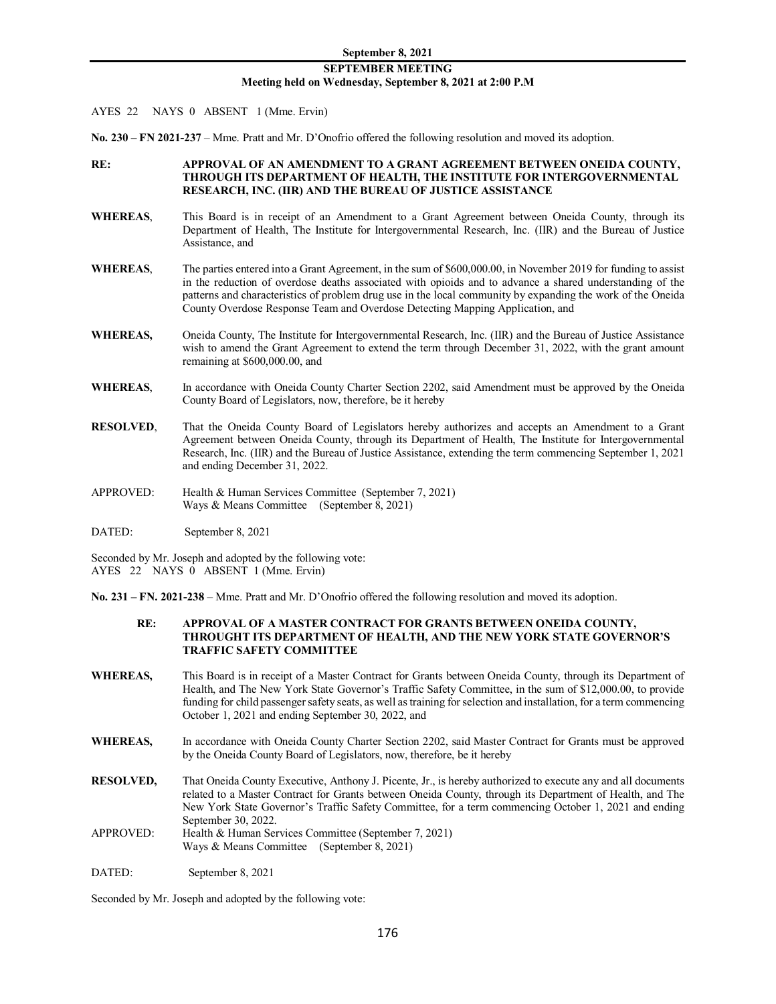# **SEPTEMBER MEETING Meeting held on Wednesday, September 8, 2021 at 2:00 P.M**

- AYES 22 NAYS 0 ABSENT 1 (Mme. Ervin)
- **No. 230 – FN 2021-237** Mme. Pratt and Mr. D'Onofrio offered the following resolution and moved its adoption.

# **RE: APPROVAL OF AN AMENDMENT TO A GRANT AGREEMENT BETWEEN ONEIDA COUNTY, THROUGH ITS DEPARTMENT OF HEALTH, THE INSTITUTE FOR INTERGOVERNMENTAL RESEARCH, INC. (IIR) AND THE BUREAU OF JUSTICE ASSISTANCE**

- **WHEREAS**, This Board is in receipt of an Amendment to a Grant Agreement between Oneida County, through its Department of Health, The Institute for Intergovernmental Research, Inc. (IIR) and the Bureau of Justice Assistance, and
- **WHEREAS**, The parties entered into a Grant Agreement, in the sum of \$600,000.00, in November 2019 for funding to assist in the reduction of overdose deaths associated with opioids and to advance a shared understanding of the patterns and characteristics of problem drug use in the local community by expanding the work of the Oneida County Overdose Response Team and Overdose Detecting Mapping Application, and
- **WHEREAS,** Oneida County, The Institute for Intergovernmental Research, Inc. (IIR) and the Bureau of Justice Assistance wish to amend the Grant Agreement to extend the term through December 31, 2022, with the grant amount remaining at \$600,000.00, and
- WHEREAS, In accordance with Oneida County Charter Section 2202, said Amendment must be approved by the Oneida County Board of Legislators, now, therefore, be it hereby
- **RESOLVED**, That the Oneida County Board of Legislators hereby authorizes and accepts an Amendment to a Grant Agreement between Oneida County, through its Department of Health, The Institute for Intergovernmental Research, Inc. (IIR) and the Bureau of Justice Assistance, extending the term commencing September 1, 2021 and ending December 31, 2022.
- APPROVED: Health & Human Services Committee (September 7, 2021) Ways & Means Committee (September 8, 2021)
- DATED: September 8, 2021

Seconded by Mr. Joseph and adopted by the following vote: AYES 22 NAYS 0 ABSENT 1 (Mme. Ervin)

**No. 231 – FN. 2021-238** – Mme. Pratt and Mr. D'Onofrio offered the following resolution and moved its adoption.

# **RE: APPROVAL OF A MASTER CONTRACT FOR GRANTS BETWEEN ONEIDA COUNTY, THROUGHT ITS DEPARTMENT OF HEALTH, AND THE NEW YORK STATE GOVERNOR'S TRAFFIC SAFETY COMMITTEE**

- **WHEREAS,** This Board is in receipt of a Master Contract for Grants between Oneida County, through its Department of Health, and The New York State Governor's Traffic Safety Committee, in the sum of \$12,000.00, to provide funding for child passenger safety seats, as well as training for selection and installation, for a term commencing October 1, 2021 and ending September 30, 2022, and
- WHEREAS, In accordance with Oneida County Charter Section 2202, said Master Contract for Grants must be approved by the Oneida County Board of Legislators, now, therefore, be it hereby
- **RESOLVED,** That Oneida County Executive, Anthony J. Picente, Jr., is hereby authorized to execute any and all documents related to a Master Contract for Grants between Oneida County, through its Department of Health, and The New York State Governor's Traffic Safety Committee, for a term commencing October 1, 2021 and ending September 30, 2022.
- APPROVED: Health & Human Services Committee (September 7, 2021) Ways & Means Committee (September 8, 2021)
- DATED: September 8, 2021

Seconded by Mr. Joseph and adopted by the following vote: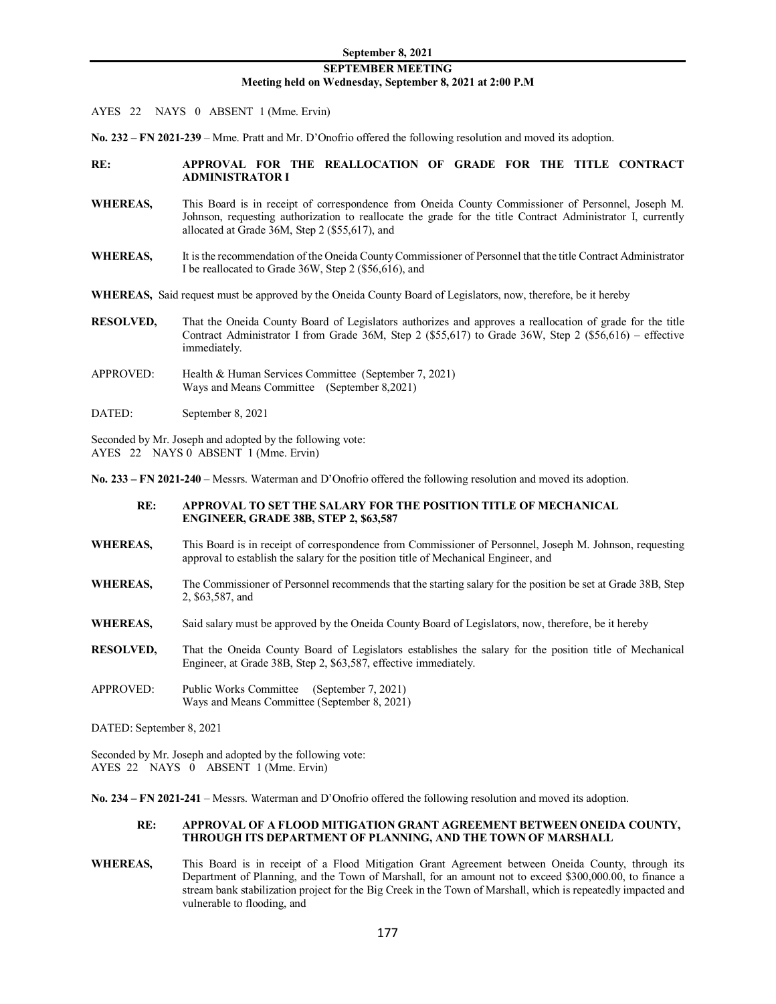AYES 22 NAYS 0 ABSENT 1 (Mme. Ervin)

**No. 232 – FN 2021-239** – Mme. Pratt and Mr. D'Onofrio offered the following resolution and moved its adoption.

# **RE: APPROVAL FOR THE REALLOCATION OF GRADE FOR THE TITLE CONTRACT ADMINISTRATOR I**

- **WHEREAS,** This Board is in receipt of correspondence from Oneida County Commissioner of Personnel, Joseph M. Johnson, requesting authorization to reallocate the grade for the title Contract Administrator I, currently allocated at Grade 36M, Step 2 (\$55,617), and
- **WHEREAS,** It is the recommendation of the Oneida County Commissioner of Personnel that the title Contract Administrator I be reallocated to Grade 36W, Step 2 (\$56,616), and
- **WHEREAS,** Said request must be approved by the Oneida County Board of Legislators, now, therefore, be it hereby
- **RESOLVED,** That the Oneida County Board of Legislators authorizes and approves a reallocation of grade for the title Contract Administrator I from Grade 36M, Step 2 (\$55,617) to Grade 36W, Step 2 (\$56,616) – effective immediately.
- APPROVED: Health & Human Services Committee (September 7, 2021) Ways and Means Committee (September 8,2021)
- DATED: September 8, 2021

Seconded by Mr. Joseph and adopted by the following vote: AYES 22 NAYS 0 ABSENT 1 (Mme. Ervin)

**No. 233 – FN 2021-240** – Messrs. Waterman and D'Onofrio offered the following resolution and moved its adoption.

#### **RE: APPROVAL TO SET THE SALARY FOR THE POSITION TITLE OF MECHANICAL ENGINEER, GRADE 38B, STEP 2, \$63,587**

- **WHEREAS,** This Board is in receipt of correspondence from Commissioner of Personnel, Joseph M. Johnson, requesting approval to establish the salary for the position title of Mechanical Engineer, and
- **WHEREAS,** The Commissioner of Personnel recommends that the starting salary for the position be set at Grade 38B, Step 2, \$63,587, and
- **WHEREAS,** Said salary must be approved by the Oneida County Board of Legislators, now, therefore, be it hereby
- **RESOLVED,** That the Oneida County Board of Legislators establishes the salary for the position title of Mechanical Engineer, at Grade 38B, Step 2, \$63,587, effective immediately.
- APPROVED: Public Works Committee (September 7, 2021) Ways and Means Committee (September 8, 2021)

DATED: September 8, 2021

Seconded by Mr. Joseph and adopted by the following vote: AYES 22 NAYS 0 ABSENT 1 (Mme. Ervin)

**No. 234 – FN 2021-241** – Messrs. Waterman and D'Onofrio offered the following resolution and moved its adoption.

#### **RE: APPROVAL OF A FLOOD MITIGATION GRANT AGREEMENT BETWEEN ONEIDA COUNTY, THROUGH ITS DEPARTMENT OF PLANNING, AND THE TOWN OF MARSHALL**

**WHEREAS,** This Board is in receipt of a Flood Mitigation Grant Agreement between Oneida County, through its Department of Planning, and the Town of Marshall, for an amount not to exceed \$300,000.00, to finance a stream bank stabilization project for the Big Creek in the Town of Marshall, which is repeatedly impacted and vulnerable to flooding, and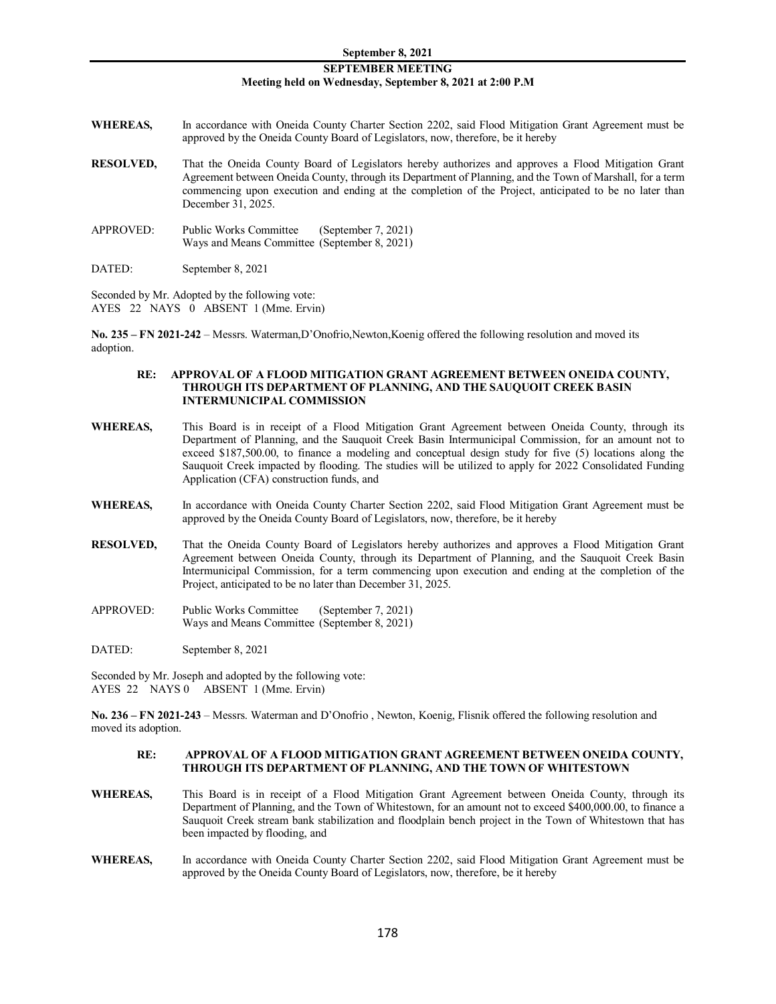# **SEPTEMBER MEETING Meeting held on Wednesday, September 8, 2021 at 2:00 P.M**

- WHEREAS, In accordance with Oneida County Charter Section 2202, said Flood Mitigation Grant Agreement must be approved by the Oneida County Board of Legislators, now, therefore, be it hereby
- **RESOLVED,** That the Oneida County Board of Legislators hereby authorizes and approves a Flood Mitigation Grant Agreement between Oneida County, through its Department of Planning, and the Town of Marshall, for a term commencing upon execution and ending at the completion of the Project, anticipated to be no later than December 31, 2025.
- APPROVED: Public Works Committee (September 7, 2021) Ways and Means Committee (September 8, 2021)

DATED: September 8, 2021

Seconded by Mr. Adopted by the following vote: AYES 22 NAYS 0 ABSENT 1 (Mme. Ervin)

**No. 235 – FN 2021-242** – Messrs. Waterman,D'Onofrio,Newton,Koenig offered the following resolution and moved its adoption.

### **RE: APPROVAL OF A FLOOD MITIGATION GRANT AGREEMENT BETWEEN ONEIDA COUNTY, THROUGH ITS DEPARTMENT OF PLANNING, AND THE SAUQUOIT CREEK BASIN INTERMUNICIPAL COMMISSION**

- **WHEREAS,** This Board is in receipt of a Flood Mitigation Grant Agreement between Oneida County, through its Department of Planning, and the Sauquoit Creek Basin Intermunicipal Commission, for an amount not to exceed \$187,500.00, to finance a modeling and conceptual design study for five (5) locations along the Sauquoit Creek impacted by flooding. The studies will be utilized to apply for 2022 Consolidated Funding Application (CFA) construction funds, and
- **WHEREAS,** In accordance with Oneida County Charter Section 2202, said Flood Mitigation Grant Agreement must be approved by the Oneida County Board of Legislators, now, therefore, be it hereby
- **RESOLVED,** That the Oneida County Board of Legislators hereby authorizes and approves a Flood Mitigation Grant Agreement between Oneida County, through its Department of Planning, and the Sauquoit Creek Basin Intermunicipal Commission, for a term commencing upon execution and ending at the completion of the Project, anticipated to be no later than December 31, 2025.
- APPROVED: Public Works Committee (September 7, 2021) Ways and Means Committee (September 8, 2021)

DATED: September 8, 2021

Seconded by Mr. Joseph and adopted by the following vote: AYES 22 NAYS 0 ABSENT 1 (Mme. Ervin)

**No. 236 – FN 2021-243** – Messrs. Waterman and D'Onofrio , Newton, Koenig, Flisnik offered the following resolution and moved its adoption.

# **RE: APPROVAL OF A FLOOD MITIGATION GRANT AGREEMENT BETWEEN ONEIDA COUNTY, THROUGH ITS DEPARTMENT OF PLANNING, AND THE TOWN OF WHITESTOWN**

- **WHEREAS,** This Board is in receipt of a Flood Mitigation Grant Agreement between Oneida County, through its Department of Planning, and the Town of Whitestown, for an amount not to exceed \$400,000.00, to finance a Sauquoit Creek stream bank stabilization and floodplain bench project in the Town of Whitestown that has been impacted by flooding, and
- **WHEREAS,** In accordance with Oneida County Charter Section 2202, said Flood Mitigation Grant Agreement must be approved by the Oneida County Board of Legislators, now, therefore, be it hereby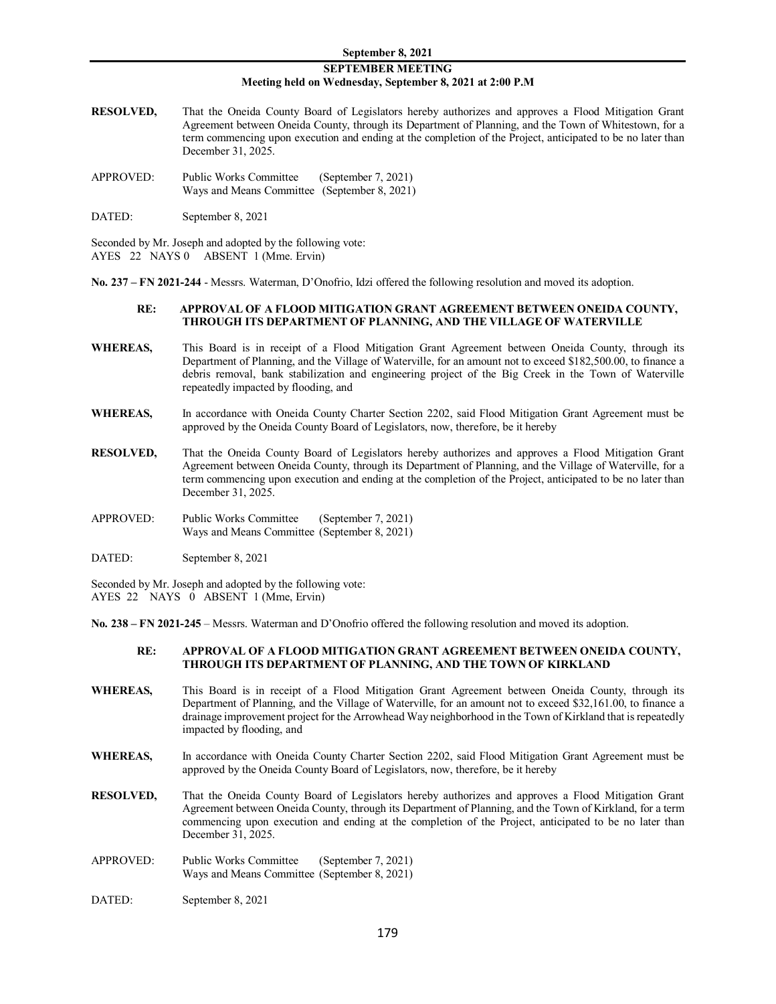# **SEPTEMBER MEETING Meeting held on Wednesday, September 8, 2021 at 2:00 P.M**

- **RESOLVED,** That the Oneida County Board of Legislators hereby authorizes and approves a Flood Mitigation Grant Agreement between Oneida County, through its Department of Planning, and the Town of Whitestown, for a term commencing upon execution and ending at the completion of the Project, anticipated to be no later than December 31, 2025.
- APPROVED: Public Works Committee (September 7, 2021) Ways and Means Committee (September 8, 2021)
- DATED: September 8, 2021

Seconded by Mr. Joseph and adopted by the following vote: AYES 22 NAYS 0 ABSENT 1 (Mme. Ervin)

**No. 237 – FN 2021-244** - Messrs. Waterman, D'Onofrio, Idzi offered the following resolution and moved its adoption.

# **RE: APPROVAL OF A FLOOD MITIGATION GRANT AGREEMENT BETWEEN ONEIDA COUNTY, THROUGH ITS DEPARTMENT OF PLANNING, AND THE VILLAGE OF WATERVILLE**

- **WHEREAS,** This Board is in receipt of a Flood Mitigation Grant Agreement between Oneida County, through its Department of Planning, and the Village of Waterville, for an amount not to exceed \$182,500.00, to finance a debris removal, bank stabilization and engineering project of the Big Creek in the Town of Waterville repeatedly impacted by flooding, and
- WHEREAS, In accordance with Oneida County Charter Section 2202, said Flood Mitigation Grant Agreement must be approved by the Oneida County Board of Legislators, now, therefore, be it hereby
- **RESOLVED,** That the Oneida County Board of Legislators hereby authorizes and approves a Flood Mitigation Grant Agreement between Oneida County, through its Department of Planning, and the Village of Waterville, for a term commencing upon execution and ending at the completion of the Project, anticipated to be no later than December 31, 2025.
- APPROVED: Public Works Committee (September 7, 2021) Ways and Means Committee (September 8, 2021)
- DATED: September 8, 2021

Seconded by Mr. Joseph and adopted by the following vote: AYES 22 NAYS 0 ABSENT 1 (Mme, Ervin)

**No. 238 – FN 2021-245** – Messrs. Waterman and D'Onofrio offered the following resolution and moved its adoption.

### **RE: APPROVAL OF A FLOOD MITIGATION GRANT AGREEMENT BETWEEN ONEIDA COUNTY, THROUGH ITS DEPARTMENT OF PLANNING, AND THE TOWN OF KIRKLAND**

- **WHEREAS,** This Board is in receipt of a Flood Mitigation Grant Agreement between Oneida County, through its Department of Planning, and the Village of Waterville, for an amount not to exceed \$32,161.00, to finance a drainage improvement project for the Arrowhead Way neighborhood in the Town of Kirkland that is repeatedly impacted by flooding, and
- **WHEREAS,** In accordance with Oneida County Charter Section 2202, said Flood Mitigation Grant Agreement must be approved by the Oneida County Board of Legislators, now, therefore, be it hereby
- **RESOLVED,** That the Oneida County Board of Legislators hereby authorizes and approves a Flood Mitigation Grant Agreement between Oneida County, through its Department of Planning, and the Town of Kirkland, for a term commencing upon execution and ending at the completion of the Project, anticipated to be no later than December 31, 2025.
- APPROVED: Public Works Committee (September 7, 2021) Ways and Means Committee (September 8, 2021)
- DATED: September 8, 2021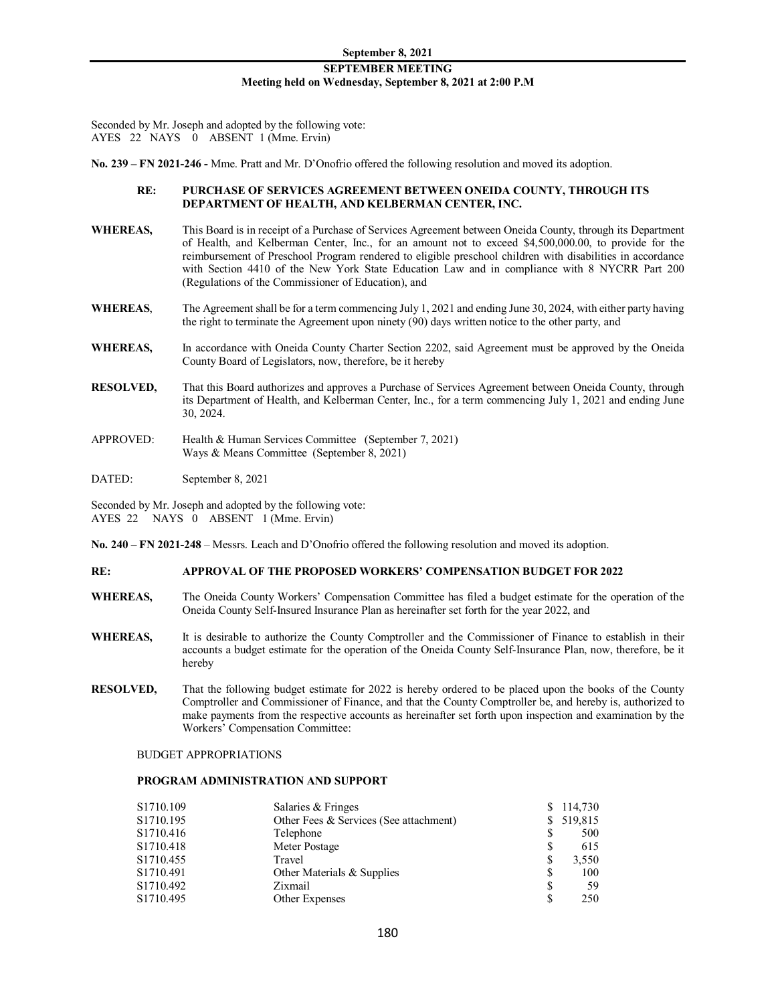Seconded by Mr. Joseph and adopted by the following vote: AYES 22 NAYS 0 ABSENT 1 (Mme. Ervin)

**No. 239 – FN 2021-246 -** Mme. Pratt and Mr. D'Onofrio offered the following resolution and moved its adoption.

# **RE: PURCHASE OF SERVICES AGREEMENT BETWEEN ONEIDA COUNTY, THROUGH ITS DEPARTMENT OF HEALTH, AND KELBERMAN CENTER, INC.**

- **WHEREAS,** This Board is in receipt of a Purchase of Services Agreement between Oneida County, through its Department of Health, and Kelberman Center, Inc., for an amount not to exceed \$4,500,000.00, to provide for the reimbursement of Preschool Program rendered to eligible preschool children with disabilities in accordance with Section 4410 of the New York State Education Law and in compliance with 8 NYCRR Part 200 (Regulations of the Commissioner of Education), and
- **WHEREAS**, The Agreement shall be for a term commencing July 1, 2021 and ending June 30, 2024, with either party having the right to terminate the Agreement upon ninety (90) days written notice to the other party, and
- WHEREAS, In accordance with Oneida County Charter Section 2202, said Agreement must be approved by the Oneida County Board of Legislators, now, therefore, be it hereby
- **RESOLVED,** That this Board authorizes and approves a Purchase of Services Agreement between Oneida County, through its Department of Health, and Kelberman Center, Inc., for a term commencing July 1, 2021 and ending June 30, 2024.
- APPROVED: Health & Human Services Committee (September 7, 2021) Ways & Means Committee (September 8, 2021)

DATED: September 8, 2021

Seconded by Mr. Joseph and adopted by the following vote: AYES 22 NAYS 0 ABSENT 1 (Mme. Ervin)

**No. 240 – FN 2021-248** – Messrs. Leach and D'Onofrio offered the following resolution and moved its adoption.

#### **RE: APPROVAL OF THE PROPOSED WORKERS' COMPENSATION BUDGET FOR 2022**

- **WHEREAS,** The Oneida County Workers' Compensation Committee has filed a budget estimate for the operation of the Oneida County Self-Insured Insurance Plan as hereinafter set forth for the year 2022, and
- **WHEREAS,** It is desirable to authorize the County Comptroller and the Commissioner of Finance to establish in their accounts a budget estimate for the operation of the Oneida County Self-Insurance Plan, now, therefore, be it hereby
- **RESOLVED,** That the following budget estimate for 2022 is hereby ordered to be placed upon the books of the County Comptroller and Commissioner of Finance, and that the County Comptroller be, and hereby is, authorized to make payments from the respective accounts as hereinafter set forth upon inspection and examination by the Workers' Compensation Committee:

BUDGET APPROPRIATIONS

# **PROGRAM ADMINISTRATION AND SUPPORT**

| Salaries & Fringes                     |   | \$114,730  |
|----------------------------------------|---|------------|
| Other Fees & Services (See attachment) |   | \$ 519,815 |
| Telephone                              |   | 500        |
| Meter Postage                          |   | 615        |
| Travel                                 |   | 3,550      |
| Other Materials & Supplies             |   | 100        |
| Zixmail                                | S | 59         |
| Other Expenses                         |   | 250        |
|                                        |   |            |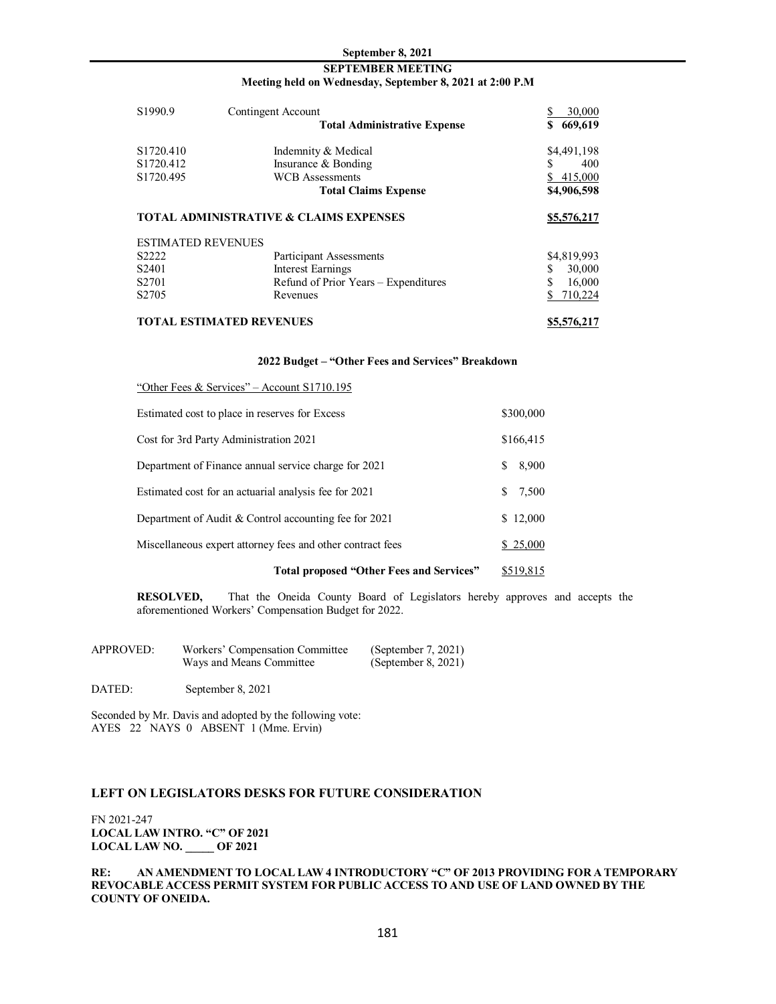# **SEPTEMBER MEETING Meeting held on Wednesday, September 8, 2021 at 2:00 P.M**

| S1990.9                         | Contingent Account<br><b>Total Administrative Expense</b> | 30,000<br>669,619<br>SS. |
|---------------------------------|-----------------------------------------------------------|--------------------------|
|                                 |                                                           |                          |
| S <sub>1720.410</sub>           | Indemnity & Medical                                       | \$4,491,198              |
| S1720.412                       | Insurance & Bonding                                       | 400                      |
| S1720.495                       | <b>WCB</b> Assessments                                    | 415,000                  |
|                                 | <b>Total Claims Expense</b>                               | \$4,906,598              |
|                                 | <b>TOTAL ADMINISTRATIVE &amp; CLAIMS EXPENSES</b>         | \$5,576,217              |
| <b>ESTIMATED REVENUES</b>       |                                                           |                          |
| S2222                           | Participant Assessments                                   | \$4,819,993              |
| S <sub>2401</sub>               | <b>Interest Earnings</b>                                  | S<br>30,000              |
| S <sub>2701</sub>               | Refund of Prior Years – Expenditures                      | 16,000                   |
| S <sub>2705</sub>               | Revenues                                                  | 710,224                  |
| <b>TOTAL ESTIMATED REVENUES</b> |                                                           | \$5,576,217              |

#### **2022 Budget – "Other Fees and Services" Breakdown**

| Total proposed "Other Fees and Services"                   | \$519,815   |
|------------------------------------------------------------|-------------|
| Miscellaneous expert attorney fees and other contract fees | \$25,000    |
| Department of Audit & Control accounting fee for 2021      | \$12,000    |
| Estimated cost for an actuarial analysis fee for 2021      | 7,500<br>S. |
| Department of Finance annual service charge for 2021       | 8,900<br>S  |
| Cost for 3rd Party Administration 2021                     | \$166,415   |
| Estimated cost to place in reserves for Excess             | \$300,000   |
| "Other Fees & Services" – Account $S1710.195$              |             |

**RESOLVED,** That the Oneida County Board of Legislators hereby approves and accepts the aforementioned Workers' Compensation Budget for 2022.

| <b>APPROVED:</b> | Workers' Compensation Committee | (September 7, 2021) |
|------------------|---------------------------------|---------------------|
|                  | Ways and Means Committee        | (September 8, 2021) |

DATED: September 8, 2021

Seconded by Mr. Davis and adopted by the following vote: AYES 22 NAYS 0 ABSENT 1 (Mme. Ervin)

# **LEFT ON LEGISLATORS DESKS FOR FUTURE CONSIDERATION**

FN 2021-247 **LOCAL LAW INTRO. "C" OF 2021 LOCAL LAW NO. \_\_\_\_\_ OF 2021**

**RE: AN AMENDMENT TO LOCAL LAW 4 INTRODUCTORY "C" OF 2013 PROVIDING FOR A TEMPORARY REVOCABLE ACCESS PERMIT SYSTEM FOR PUBLIC ACCESS TO AND USE OF LAND OWNED BY THE COUNTY OF ONEIDA.**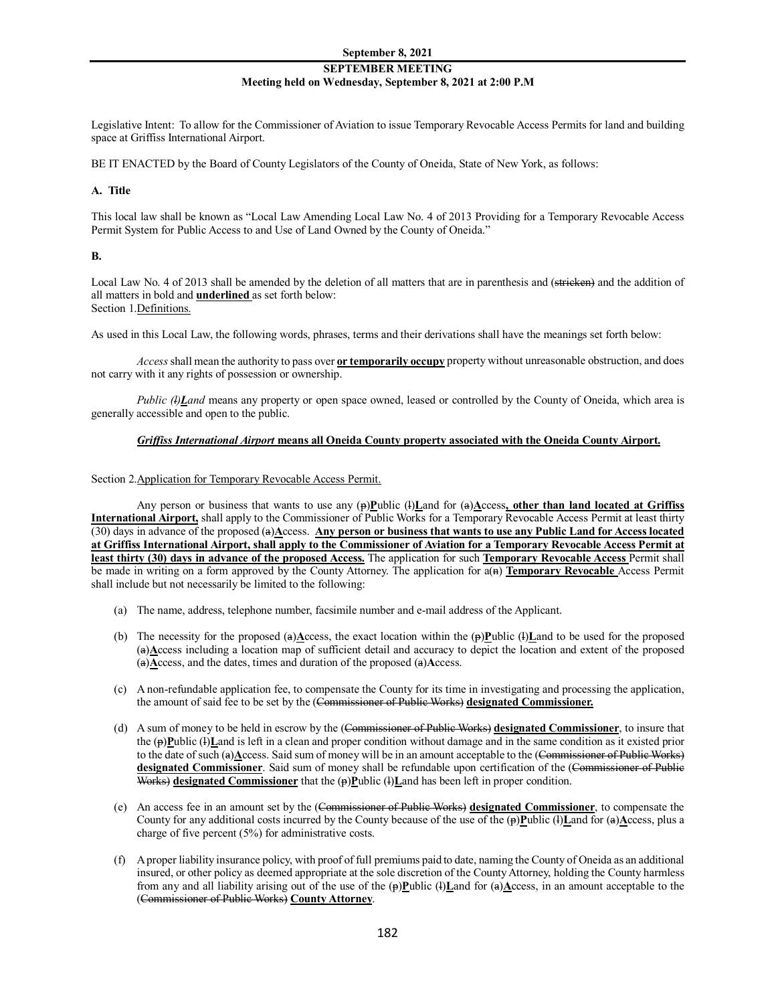# **SEPTEMBER MEETING Meeting held on Wednesday, September 8, 2021 at 2:00 P.M**

Legislative Intent: To allow for the Commissioner of Aviation to issue Temporary Revocable Access Permits for land and building space at Griffiss International Airport.

BE IT ENACTED by the Board of County Legislators of the County of Oneida, State of New York, as follows:

### **A. Title**

This local law shall be known as "Local Law Amending Local Law No. 4 of 2013 Providing for a Temporary Revocable Access Permit System for Public Access to and Use of Land Owned by the County of Oneida."

# **B.**

Local Law No. 4 of 2013 shall be amended by the deletion of all matters that are in parenthesis and (stricken) and the addition of all matters in bold and **underlined** as set forth below: Section 1.Definitions.

As used in this Local Law, the following words, phrases, terms and their derivations shall have the meanings set forth below:

*Access* shall mean the authority to pass over **or temporarily occupy** property without unreasonable obstruction, and does not carry with it any rights of possession or ownership.

*Public (l)Land* means any property or open space owned, leased or controlled by the County of Oneida, which area is generally accessible and open to the public.

# *Griffiss International Airport* **means all Oneida County property associated with the Oneida County Airport.**

### Section 2.Application for Temporary Revocable Access Permit.

Any person or business that wants to use any (p)**P**ublic (l)**L**and for (a)**A**ccess**, other than land located at Griffiss International Airport,** shall apply to the Commissioner of Public Works for a Temporary Revocable Access Permit at least thirty (30) days in advance of the proposed (a)**A**ccess. **Any person or business that wants to use any Public Land for Access located at Griffiss International Airport, shall apply to the Commissioner of Aviation for a Temporary Revocable Access Permit at least thirty (30) days in advance of the proposed Access.** The application for such **Temporary Revocable Access** Permit shall be made in writing on a form approved by the County Attorney. The application for a(n) **Temporary Revocable** Access Permit shall include but not necessarily be limited to the following:

- (a) The name, address, telephone number, facsimile number and e-mail address of the Applicant.
- (b) The necessity for the proposed (a) $\triangle$ ccess, the exact location within the (p)**P**ublic (l)Land to be used for the proposed (a)**A**ccess including a location map of sufficient detail and accuracy to depict the location and extent of the proposed (a)**A**ccess, and the dates, times and duration of the proposed (a)**A**ccess.
- (c) A non-refundable application fee, to compensate the County for its time in investigating and processing the application, the amount of said fee to be set by the (Commissioner of Public Works) **designated Commissioner.**
- (d) A sum of money to be held in escrow by the (Commissioner of Public Works) **designated Commissioner**, to insure that the (p)**P**ublic (l)**L**and is left in a clean and proper condition without damage and in the same condition as it existed prior to the date of such (a)Access. Said sum of money will be in an amount acceptable to the (Commissioner of Public Works) **designated Commissioner**. Said sum of money shall be refundable upon certification of the (Commissioner of Public Works) **designated Commissioner** that the (p) **P**ublic (!) Land has been left in proper condition.
- (e) An access fee in an amount set by the (Commissioner of Public Works) **designated Commissioner**, to compensate the County for any additional costs incurred by the County because of the use of the  $(\mathbf{p})\mathbf{P}$ ublic  $(\mathbf{i})\mathbf{L}$ and for  $(\mathbf{a})\mathbf{A}$ ccess, plus a charge of five percent (5%) for administrative costs.
- (f) A proper liability insurance policy, with proof of full premiums paid to date, naming the County of Oneida as an additional insured, or other policy as deemed appropriate at the sole discretion of the County Attorney, holding the County harmless from any and all liability arising out of the use of the (p)**P**ublic (l)**L**and for (a)**A**ccess, in an amount acceptable to the (Commissioner of Public Works) **County Attorney**.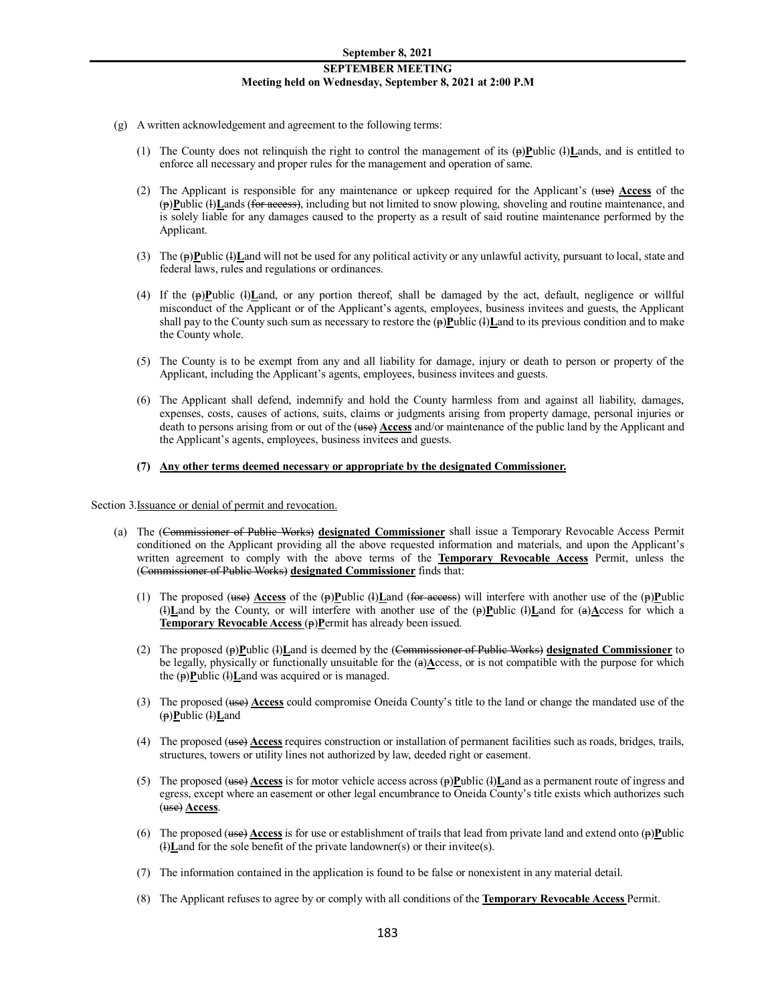# **SEPTEMBER MEETING Meeting held on Wednesday, September 8, 2021 at 2:00 P.M**

- (g) A written acknowledgement and agreement to the following terms:
	- (1) The County does not relinquish the right to control the management of its  $(\mathbf{p})\underline{\mathbf{P}}$ ublic ( $\mathbf{I}\underline{\mathbf{L}}$  ands, and is entitled to enforce all necessary and proper rules for the management and operation of same.
	- (2) The Applicant is responsible for any maintenance or upkeep required for the Applicant's (use) **Access** of the (p)**P**ublic (l)**L**ands (for access), including but not limited to snow plowing, shoveling and routine maintenance, and is solely liable for any damages caused to the property as a result of said routine maintenance performed by the Applicant.
	- (3) The  $(\mathbf{p})$ **Public (f)Land will not be used for any political activity or any unlawful activity, pursuant to local, state and** federal laws, rules and regulations or ordinances.
	- (4) If the (p)**P**ublic (l)**L**and, or any portion thereof, shall be damaged by the act, default, negligence or willful misconduct of the Applicant or of the Applicant's agents, employees, business invitees and guests, the Applicant shall pay to the County such sum as necessary to restore the  $(\frac{1}{2})$ **L**ublic (4)**L**and to its previous condition and to make the County whole.
	- (5) The County is to be exempt from any and all liability for damage, injury or death to person or property of the Applicant, including the Applicant's agents, employees, business invitees and guests.
	- (6) The Applicant shall defend, indemnify and hold the County harmless from and against all liability, damages, expenses, costs, causes of actions, suits, claims or judgments arising from property damage, personal injuries or death to persons arising from or out of the (use) **Access** and/or maintenance of the public land by the Applicant and the Applicant's agents, employees, business invitees and guests.
	- **(7) Any other terms deemed necessary or appropriate by the designated Commissioner.**

Section 3.Issuance or denial of permit and revocation.

- (a) The (Commissioner of Public Works) **designated Commissioner** shall issue a Temporary Revocable Access Permit conditioned on the Applicant providing all the above requested information and materials, and upon the Applicant's written agreement to comply with the above terms of the **Temporary Revocable Access** Permit, unless the (Commissioner of Public Works) **designated Commissioner** finds that:
	- (1) The proposed (use) **Access** of the  $(p)$ **P**ublic  $(l)$ **L**and (for access) will interfere with another use of the  $(p)$ **P**ublic (l)**L**and by the County, or will interfere with another use of the (p)**P**ublic (l)**L**and for (a)**A**ccess for which a **Temporary Revocable Access (p)P**ermit has already been issued.
	- (2) The proposed (p)**P**ublic (l)**L**and is deemed by the (Commissioner of Public Works) **designated Commissioner** to be legally, physically or functionally unsuitable for the (a)**A**ccess, or is not compatible with the purpose for which the (p)**P**ublic (l)Land was acquired or is managed.
	- (3) The proposed (use) **Access** could compromise Oneida County's title to the land or change the mandated use of the (p)**P**ublic (l)**L**and
	- (4) The proposed (use) **Access** requires construction or installation of permanent facilities such as roads, bridges, trails, structures, towers or utility lines not authorized by law, deeded right or easement.
	- (5) The proposed (use) **Access** is for motor vehicle access across (p)**P**ublic (l)**L**and as a permanent route of ingress and egress, except where an easement or other legal encumbrance to Oneida County's title exists which authorizes such (use) **Access**.
	- (6) The proposed ( $\theta$ ) **Access** is for use or establishment of trails that lead from private land and extend onto  $(\theta)$ **Public** (l)**L**and for the sole benefit of the private landowner(s) or their invitee(s).
	- (7) The information contained in the application is found to be false or nonexistent in any material detail.
	- (8) The Applicant refuses to agree by or comply with all conditions of the **Temporary Revocable Access** Permit.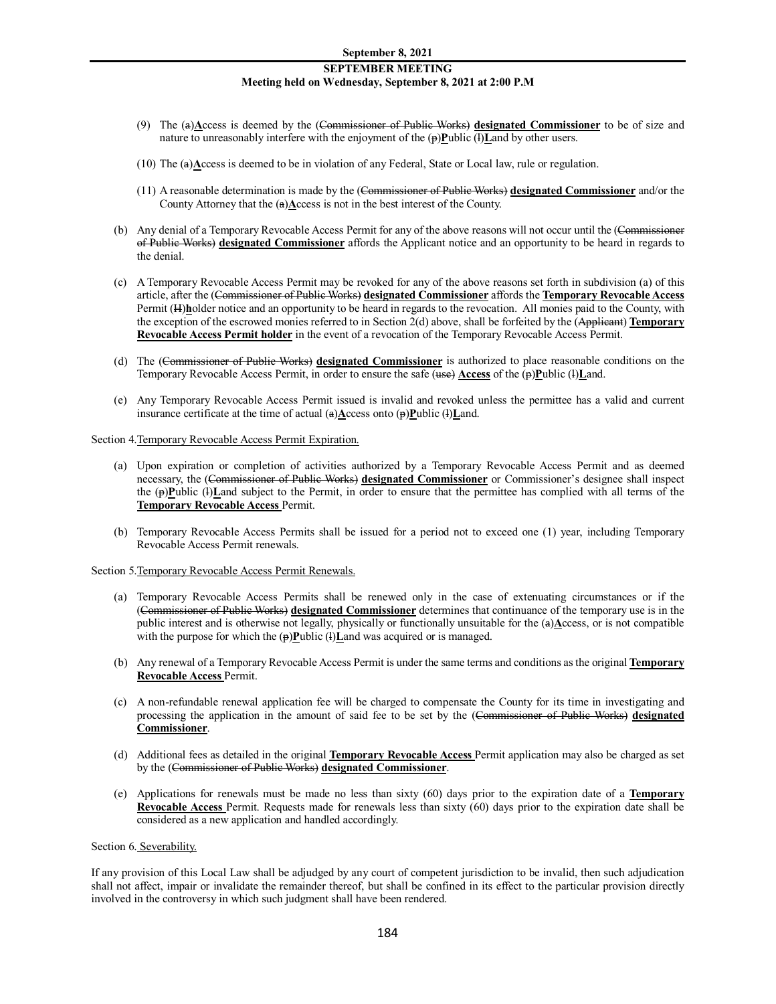# **SEPTEMBER MEETING Meeting held on Wednesday, September 8, 2021 at 2:00 P.M**

- (9) The (a)**A**ccess is deemed by the (Commissioner of Public Works) **designated Commissioner** to be of size and nature to unreasonably interfere with the enjoyment of the (p)**P**ublic (l)**L**and by other users.
- (10) The (a)**A**ccess is deemed to be in violation of any Federal, State or Local law, rule or regulation.
- (11) A reasonable determination is made by the (Commissioner of Public Works) **designated Commissioner** and/or the County Attorney that the (a)**A**ccess is not in the best interest of the County.
- (b) Any denial of a Temporary Revocable Access Permit for any of the above reasons will not occur until the (Commissioner of Public Works) **designated Commissioner** affords the Applicant notice and an opportunity to be heard in regards to the denial.
- (c) A Temporary Revocable Access Permit may be revoked for any of the above reasons set forth in subdivision (a) of this article, after the (Commissioner of Public Works) **designated Commissioner** affords the **Temporary Revocable Access**  Permit (H)holder notice and an opportunity to be heard in regards to the revocation. All monies paid to the County, with the exception of the escrowed monies referred to in Section 2(d) above, shall be forfeited by the (Applicant) **Temporary Revocable Access Permit holder** in the event of a revocation of the Temporary Revocable Access Permit.
- (d) The (Commissioner of Public Works) **designated Commissioner** is authorized to place reasonable conditions on the Temporary Revocable Access Permit, in order to ensure the safe (use) **Access** of the (p)**P**ublic (l)**L**and.
- (e) Any Temporary Revocable Access Permit issued is invalid and revoked unless the permittee has a valid and current insurance certificate at the time of actual (a)**A**ccess onto (p)**P**ublic (l)**L**and.

#### Section 4.Temporary Revocable Access Permit Expiration.

- (a) Upon expiration or completion of activities authorized by a Temporary Revocable Access Permit and as deemed necessary, the (Commissioner of Public Works) **designated Commissioner** or Commissioner's designee shall inspect the  $(\mathbf{p})$ **Public (***l***)**Land subject to the Permit, in order to ensure that the permittee has complied with all terms of the **Temporary Revocable Access** Permit.
- (b) Temporary Revocable Access Permits shall be issued for a period not to exceed one (1) year, including Temporary Revocable Access Permit renewals.

Section 5.Temporary Revocable Access Permit Renewals.

- (a) Temporary Revocable Access Permits shall be renewed only in the case of extenuating circumstances or if the (Commissioner of Public Works) **designated Commissioner** determines that continuance of the temporary use is in the public interest and is otherwise not legally, physically or functionally unsuitable for the (a) $\triangle$ ccess, or is not compatible with the purpose for which the (p)**P**ublic (l)Land was acquired or is managed.
- (b) Any renewal of a Temporary Revocable Access Permit is under the same terms and conditions as the original **Temporary Revocable Access** Permit.
- (c) A non-refundable renewal application fee will be charged to compensate the County for its time in investigating and processing the application in the amount of said fee to be set by the (Commissioner of Public Works) **designated Commissioner**.
- (d) Additional fees as detailed in the original **Temporary Revocable Access** Permit application may also be charged as set by the (Commissioner of Public Works) **designated Commissioner**.
- (e) Applications for renewals must be made no less than sixty (60) days prior to the expiration date of a **Temporary Revocable Access** Permit. Requests made for renewals less than sixty (60) days prior to the expiration date shall be considered as a new application and handled accordingly.

#### Section 6. Severability.

If any provision of this Local Law shall be adjudged by any court of competent jurisdiction to be invalid, then such adjudication shall not affect, impair or invalidate the remainder thereof, but shall be confined in its effect to the particular provision directly involved in the controversy in which such judgment shall have been rendered.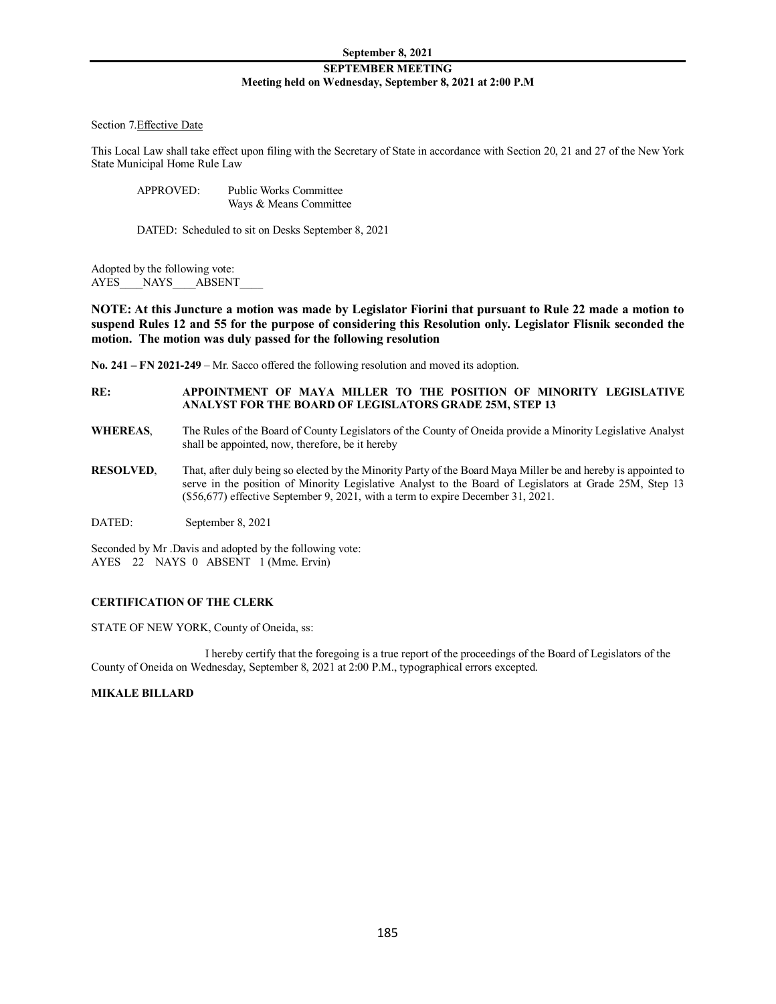# Section 7.Effective Date

This Local Law shall take effect upon filing with the Secretary of State in accordance with Section 20, 21 and 27 of the New York State Municipal Home Rule Law

APPROVED: Public Works Committee Ways & Means Committee

DATED: Scheduled to sit on Desks September 8, 2021

Adopted by the following vote: AYES\_\_\_NAYS\_\_\_\_ABSENT

**NOTE: At this Juncture a motion was made by Legislator Fiorini that pursuant to Rule 22 made a motion to suspend Rules 12 and 55 for the purpose of considering this Resolution only. Legislator Flisnik seconded the motion. The motion was duly passed for the following resolution**

**No. 241 – FN 2021-249** – Mr. Sacco offered the following resolution and moved its adoption.

# **RE: APPOINTMENT OF MAYA MILLER TO THE POSITION OF MINORITY LEGISLATIVE ANALYST FOR THE BOARD OF LEGISLATORS GRADE 25M, STEP 13**

- **WHEREAS**, The Rules of the Board of County Legislators of the County of Oneida provide a Minority Legislative Analyst shall be appointed, now, therefore, be it hereby
- **RESOLVED**, That, after duly being so elected by the Minority Party of the Board Maya Miller be and hereby is appointed to serve in the position of Minority Legislative Analyst to the Board of Legislators at Grade 25M, Step 13 (\$56,677) effective September 9, 2021, with a term to expire December 31, 2021.

DATED: September 8, 2021

Seconded by Mr .Davis and adopted by the following vote: AYES 22 NAYS 0 ABSENT 1 (Mme. Ervin)

# **CERTIFICATION OF THE CLERK**

STATE OF NEW YORK, County of Oneida, ss:

I hereby certify that the foregoing is a true report of the proceedings of the Board of Legislators of the County of Oneida on Wednesday, September 8, 2021 at 2:00 P.M., typographical errors excepted.

# **MIKALE BILLARD**